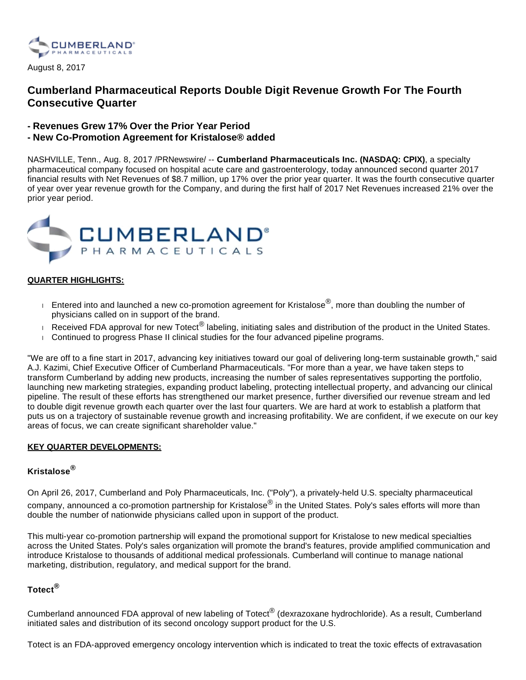

August 8, 2017

# **Cumberland Pharmaceutical Reports Double Digit Revenue Growth For The Fourth Consecutive Quarter**

- **Revenues Grew 17% Over the Prior Year Period**
- **New Co-Promotion Agreement for Kristalose® added**

NASHVILLE, Tenn., Aug. 8, 2017 /PRNewswire/ -- **Cumberland Pharmaceuticals Inc. (NASDAQ: CPIX)**, a specialty pharmaceutical company focused on hospital acute care and gastroenterology, today announced second quarter 2017 financial results with Net Revenues of \$8.7 million, up 17% over the prior year quarter. It was the fourth consecutive quarter of year over year revenue growth for the Company, and during the first half of 2017 Net Revenues increased 21% over the prior year period.



### **QUARTER HIGHLIGHTS:**

- $\blacksquare$  Entered into and launched a new co-promotion agreement for Kristalose<sup>®</sup>, more than doubling the number of physicians called on in support of the brand.
- Received FDA approval for new Totect<sup>®</sup> labeling, initiating sales and distribution of the product in the United States.
- Continued to progress Phase II clinical studies for the four advanced pipeline programs.

"We are off to a fine start in 2017, advancing key initiatives toward our goal of delivering long-term sustainable growth," said A.J. Kazimi, Chief Executive Officer of Cumberland Pharmaceuticals. "For more than a year, we have taken steps to transform Cumberland by adding new products, increasing the number of sales representatives supporting the portfolio, launching new marketing strategies, expanding product labeling, protecting intellectual property, and advancing our clinical pipeline. The result of these efforts has strengthened our market presence, further diversified our revenue stream and led to double digit revenue growth each quarter over the last four quarters. We are hard at work to establish a platform that puts us on a trajectory of sustainable revenue growth and increasing profitability. We are confident, if we execute on our key areas of focus, we can create significant shareholder value."

#### **KEY QUARTER DEVELOPMENTS:**

## **Kristalose®**

On April 26, 2017, Cumberland and Poly Pharmaceuticals, Inc. ("Poly"), a privately-held U.S. specialty pharmaceutical company, announced a co-promotion partnership for Kristalose<sup>®</sup> in the United States. Poly's sales efforts will more than double the number of nationwide physicians called upon in support of the product.

This multi-year co-promotion partnership will expand the promotional support for Kristalose to new medical specialties across the United States. Poly's sales organization will promote the brand's features, provide amplified communication and introduce Kristalose to thousands of additional medical professionals. Cumberland will continue to manage national marketing, distribution, regulatory, and medical support for the brand.

## **Totect®**

Cumberland announced FDA approval of new labeling of Totect<sup>®</sup> (dexrazoxane hydrochloride). As a result, Cumberland initiated sales and distribution of its second oncology support product for the U.S.

Totect is an FDA-approved emergency oncology intervention which is indicated to treat the toxic effects of extravasation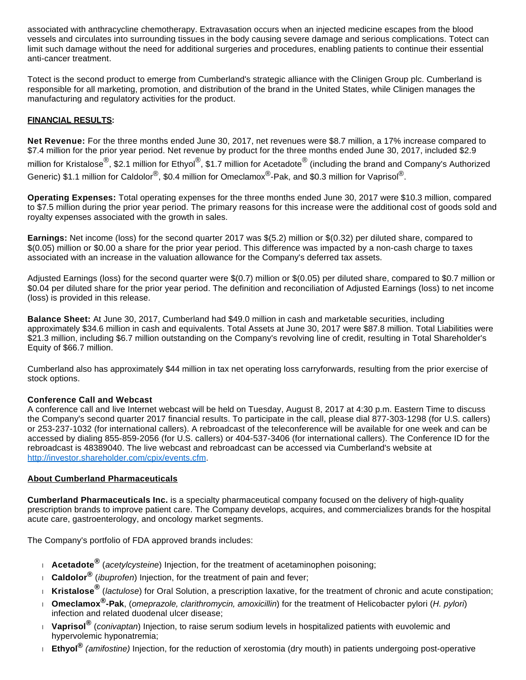associated with anthracycline chemotherapy. Extravasation occurs when an injected medicine escapes from the blood vessels and circulates into surrounding tissues in the body causing severe damage and serious complications. Totect can limit such damage without the need for additional surgeries and procedures, enabling patients to continue their essential anti-cancer treatment.

Totect is the second product to emerge from Cumberland's strategic alliance with the Clinigen Group plc. Cumberland is responsible for all marketing, promotion, and distribution of the brand in the United States, while Clinigen manages the manufacturing and regulatory activities for the product.

## **FINANCIAL RESULTS:**

**Net Revenue:** For the three months ended June 30, 2017, net revenues were \$8.7 million, a 17% increase compared to \$7.4 million for the prior year period. Net revenue by product for the three months ended June 30, 2017, included \$2.9 million for Kristalose<sup>®</sup>, \$2.1 million for Ethyol<sup>®</sup>, \$1.7 million for Acetadote<sup>®</sup> (including the brand and Company's Authorized Generic) \$1.1 million for Caldolor<sup>®</sup>, \$0.4 million for Omeclamox<sup>®</sup>-Pak, and \$0.3 million for Vaprisol<sup>®</sup>.

**Operating Expenses:** Total operating expenses for the three months ended June 30, 2017 were \$10.3 million, compared to \$7.5 million during the prior year period. The primary reasons for this increase were the additional cost of goods sold and royalty expenses associated with the growth in sales.

**Earnings:** Net income (loss) for the second quarter 2017 was \$(5.2) million or \$(0.32) per diluted share, compared to \$(0.05) million or \$0.00 a share for the prior year period. This difference was impacted by a non-cash charge to taxes associated with an increase in the valuation allowance for the Company's deferred tax assets.

Adjusted Earnings (loss) for the second quarter were \$(0.7) million or \$(0.05) per diluted share, compared to \$0.7 million or \$0.04 per diluted share for the prior year period. The definition and reconciliation of Adjusted Earnings (loss) to net income (loss) is provided in this release.

**Balance Sheet:** At June 30, 2017, Cumberland had \$49.0 million in cash and marketable securities, including approximately \$34.6 million in cash and equivalents. Total Assets at June 30, 2017 were \$87.8 million. Total Liabilities were \$21.3 million, including \$6.7 million outstanding on the Company's revolving line of credit, resulting in Total Shareholder's Equity of \$66.7 million.

Cumberland also has approximately \$44 million in tax net operating loss carryforwards, resulting from the prior exercise of stock options.

#### **Conference Call and Webcast**

A conference call and live Internet webcast will be held on Tuesday, August 8, 2017 at 4:30 p.m. Eastern Time to discuss the Company's second quarter 2017 financial results. To participate in the call, please dial 877-303-1298 (for U.S. callers) or 253-237-1032 (for international callers). A rebroadcast of the teleconference will be available for one week and can be accessed by dialing 855-859-2056 (for U.S. callers) or 404-537-3406 (for international callers). The Conference ID for the rebroadcast is 48389040. The live webcast and rebroadcast can be accessed via Cumberland's website at [http://investor.shareholder.com/cpix/events.cfm.](http://investor.shareholder.com/cpix/events.cfm)

#### **About Cumberland Pharmaceuticals**

**Cumberland Pharmaceuticals Inc.** is a specialty pharmaceutical company focused on the delivery of high-quality prescription brands to improve patient care. The Company develops, acquires, and commercializes brands for the hospital acute care, gastroenterology, and oncology market segments.

The Company's portfolio of FDA approved brands includes:

- **Acetadote<sup>®</sup> (acetylcysteine) Injection, for the treatment of acetaminophen poisoning;**
- **Caldolor®** (ibuprofen) Injection, for the treatment of pain and fever;
- **Kristalose®** (lactulose) for Oral Solution, a prescription laxative, for the treatment of chronic and acute constipation;
- **Omeclamox®-Pak**, (omeprazole, clarithromycin, amoxicillin) for the treatment of Helicobacter pylori (H. pylori) infection and related duodenal ulcer disease;
- *Naprisol<sup>®</sup> (conivaptan***)** Injection, to raise serum sodium levels in hospitalized patients with euvolemic and hypervolemic hyponatremia;
- **Ethyol®** (amifostine) Injection, for the reduction of xerostomia (dry mouth) in patients undergoing post-operative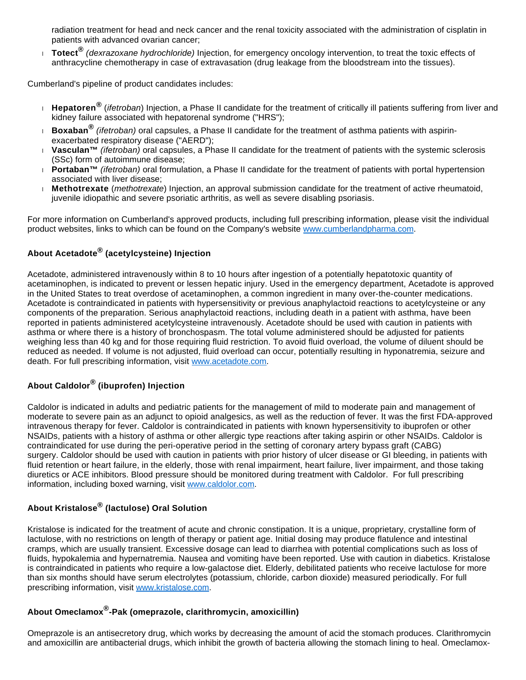radiation treatment for head and neck cancer and the renal toxicity associated with the administration of cisplatin in patients with advanced ovarian cancer;

 **Totect®** (dexrazoxane hydrochloride) Injection, for emergency oncology intervention, to treat the toxic effects of anthracycline chemotherapy in case of extravasation (drug leakage from the bloodstream into the tissues).

Cumberland's pipeline of product candidates includes:

- **Hepatoren<sup>®</sup> (***ifetroban***)** Injection, a Phase II candidate for the treatment of critically ill patients suffering from liver and kidney failure associated with hepatorenal syndrome ("HRS");
- **Boxaban®** (ifetroban) oral capsules, a Phase II candidate for the treatment of asthma patients with aspirinexacerbated respiratory disease ("AERD");
- **Vasculan™** (ifetroban) oral capsules, a Phase II candidate for the treatment of patients with the systemic sclerosis (SSc) form of autoimmune disease;
- **Portaban™** (ifetroban) oral formulation, a Phase II candidate for the treatment of patients with portal hypertension associated with liver disease;
- **Methotrexate** (methotrexate) Injection, an approval submission candidate for the treatment of active rheumatoid, juvenile idiopathic and severe psoriatic arthritis, as well as severe disabling psoriasis.

For more information on Cumberland's approved products, including full prescribing information, please visit the individual product websites, links to which can be found on the Company's website [www.cumberlandpharma.com.](http://www.cumberlandpharma.com/)

# **About Acetadote® (acetylcysteine) Injection**

Acetadote, administered intravenously within 8 to 10 hours after ingestion of a potentially hepatotoxic quantity of acetaminophen, is indicated to prevent or lessen hepatic injury. Used in the emergency department, Acetadote is approved in the United States to treat overdose of acetaminophen, a common ingredient in many over-the-counter medications. Acetadote is contraindicated in patients with hypersensitivity or previous anaphylactoid reactions to acetylcysteine or any components of the preparation. Serious anaphylactoid reactions, including death in a patient with asthma, have been reported in patients administered acetylcysteine intravenously. Acetadote should be used with caution in patients with asthma or where there is a history of bronchospasm. The total volume administered should be adjusted for patients weighing less than 40 kg and for those requiring fluid restriction. To avoid fluid overload, the volume of diluent should be reduced as needed. If volume is not adjusted, fluid overload can occur, potentially resulting in hyponatremia, seizure and death. For full prescribing information, visit [www.acetadote.com](http://www.acetadote.com/).

# **About Caldolor® (ibuprofen) Injection**

Caldolor is indicated in adults and pediatric patients for the management of mild to moderate pain and management of moderate to severe pain as an adjunct to opioid analgesics, as well as the reduction of fever. It was the first FDA-approved intravenous therapy for fever. Caldolor is contraindicated in patients with known hypersensitivity to ibuprofen or other NSAIDs, patients with a history of asthma or other allergic type reactions after taking aspirin or other NSAIDs. Caldolor is contraindicated for use during the peri-operative period in the setting of coronary artery bypass graft (CABG) surgery. Caldolor should be used with caution in patients with prior history of ulcer disease or GI bleeding, in patients with fluid retention or heart failure, in the elderly, those with renal impairment, heart failure, liver impairment, and those taking diuretics or ACE inhibitors. Blood pressure should be monitored during treatment with Caldolor. For full prescribing information, including boxed warning, visit [www.caldolor.com](http://www.caldolor.com/).

# **About Kristalose® (lactulose) Oral Solution**

Kristalose is indicated for the treatment of acute and chronic constipation. It is a unique, proprietary, crystalline form of lactulose, with no restrictions on length of therapy or patient age. Initial dosing may produce flatulence and intestinal cramps, which are usually transient. Excessive dosage can lead to diarrhea with potential complications such as loss of fluids, hypokalemia and hypernatremia. Nausea and vomiting have been reported. Use with caution in diabetics. Kristalose is contraindicated in patients who require a low-galactose diet. Elderly, debilitated patients who receive lactulose for more than six months should have serum electrolytes (potassium, chloride, carbon dioxide) measured periodically. For full prescribing information, visit [www.kristalose.com](http://www.kristalose.com/).

# **About Omeclamox® -Pak (omeprazole, clarithromycin, amoxicillin)**

Omeprazole is an antisecretory drug, which works by decreasing the amount of acid the stomach produces. Clarithromycin and amoxicillin are antibacterial drugs, which inhibit the growth of bacteria allowing the stomach lining to heal. Omeclamox-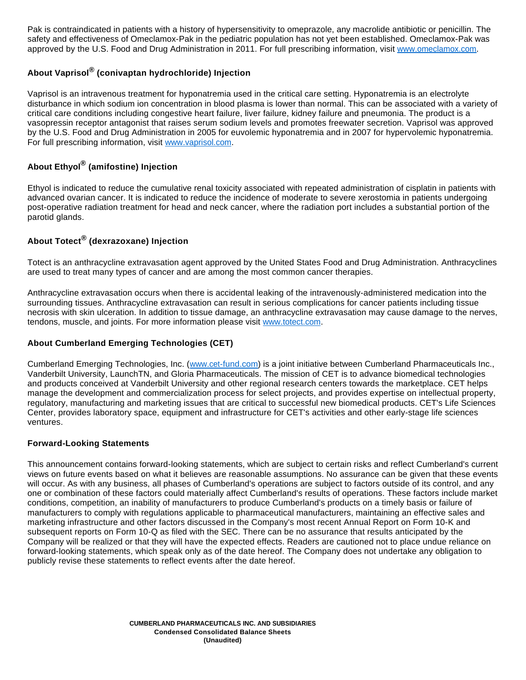Pak is contraindicated in patients with a history of hypersensitivity to omeprazole, any macrolide antibiotic or penicillin. The safety and effectiveness of Omeclamox-Pak in the pediatric population has not yet been established. Omeclamox-Pak was approved by the U.S. Food and Drug Administration in 2011. For full prescribing information, visit [www.omeclamox.com.](http://www.omeclamox.com/)

## **About Vaprisol® (conivaptan hydrochloride) Injection**

Vaprisol is an intravenous treatment for hyponatremia used in the critical care setting. Hyponatremia is an electrolyte disturbance in which sodium ion concentration in blood plasma is lower than normal. This can be associated with a variety of critical care conditions including congestive heart failure, liver failure, kidney failure and pneumonia. The product is a vasopressin receptor antagonist that raises serum sodium levels and promotes freewater secretion. Vaprisol was approved by the U.S. Food and Drug Administration in 2005 for euvolemic hyponatremia and in 2007 for hypervolemic hyponatremia. For full prescribing information, visit [www.vaprisol.com](http://www.vaprisol.com/).

# **About Ethyol® (amifostine) Injection**

Ethyol is indicated to reduce the cumulative renal toxicity associated with repeated administration of cisplatin in patients with advanced ovarian cancer. It is indicated to reduce the incidence of moderate to severe xerostomia in patients undergoing post-operative radiation treatment for head and neck cancer, where the radiation port includes a substantial portion of the parotid glands.

## **About Totect® (dexrazoxane) Injection**

Totect is an anthracycline extravasation agent approved by the United States Food and Drug Administration. Anthracyclines are used to treat many types of cancer and are among the most common cancer therapies.

Anthracycline extravasation occurs when there is accidental leaking of the intravenously-administered medication into the surrounding tissues. Anthracycline extravasation can result in serious complications for cancer patients including tissue necrosis with skin ulceration. In addition to tissue damage, an anthracycline extravasation may cause damage to the nerves, tendons, muscle, and joints. For more information please visit [www.totect.com](http://www.totect.com/).

## **About Cumberland Emerging Technologies (CET)**

Cumberland Emerging Technologies, Inc. ([www.cet-fund.com](http://www.cet-fund.com/)) is a joint initiative between Cumberland Pharmaceuticals Inc., Vanderbilt University, LaunchTN, and Gloria Pharmaceuticals. The mission of CET is to advance biomedical technologies and products conceived at Vanderbilt University and other regional research centers towards the marketplace. CET helps manage the development and commercialization process for select projects, and provides expertise on intellectual property, regulatory, manufacturing and marketing issues that are critical to successful new biomedical products. CET's Life Sciences Center, provides laboratory space, equipment and infrastructure for CET's activities and other early-stage life sciences ventures.

## **Forward-Looking Statements**

This announcement contains forward-looking statements, which are subject to certain risks and reflect Cumberland's current views on future events based on what it believes are reasonable assumptions. No assurance can be given that these events will occur. As with any business, all phases of Cumberland's operations are subject to factors outside of its control, and any one or combination of these factors could materially affect Cumberland's results of operations. These factors include market conditions, competition, an inability of manufacturers to produce Cumberland's products on a timely basis or failure of manufacturers to comply with regulations applicable to pharmaceutical manufacturers, maintaining an effective sales and marketing infrastructure and other factors discussed in the Company's most recent Annual Report on Form 10-K and subsequent reports on Form 10-Q as filed with the SEC. There can be no assurance that results anticipated by the Company will be realized or that they will have the expected effects. Readers are cautioned not to place undue reliance on forward-looking statements, which speak only as of the date hereof. The Company does not undertake any obligation to publicly revise these statements to reflect events after the date hereof.

> **CUMBERLAND PHARMACEUTICALS INC. AND SUBSIDIARIES Condensed Consolidated Balance Sheets (Unaudited)**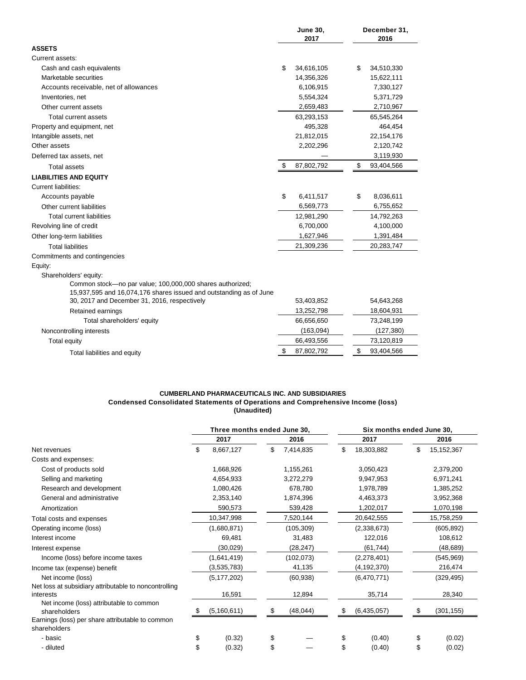|                                                                    |    | <b>June 30,</b><br>2017 |            | December 31,<br>2016 |  |  |
|--------------------------------------------------------------------|----|-------------------------|------------|----------------------|--|--|
| <b>ASSETS</b>                                                      |    |                         |            |                      |  |  |
| Current assets:                                                    |    |                         |            |                      |  |  |
| Cash and cash equivalents                                          | \$ | 34,616,105              | \$         | 34,510,330           |  |  |
| Marketable securities                                              |    | 14,356,326              |            | 15,622,111           |  |  |
| Accounts receivable, net of allowances                             |    | 6,106,915               |            | 7,330,127            |  |  |
| Inventories, net                                                   |    | 5,554,324               |            | 5,371,729            |  |  |
| Other current assets                                               |    | 2,659,483               |            | 2,710,967            |  |  |
| Total current assets                                               |    | 63,293,153              | 65,545,264 |                      |  |  |
| Property and equipment, net                                        |    | 495,328                 |            | 464,454              |  |  |
| Intangible assets, net                                             |    | 21,812,015              |            | 22,154,176           |  |  |
| Other assets                                                       |    | 2,202,296               |            | 2,120,742            |  |  |
| Deferred tax assets, net                                           |    |                         |            | 3,119,930            |  |  |
| <b>Total assets</b>                                                | \$ | 87,802,792              | \$         | 93,404,566           |  |  |
| <b>LIABILITIES AND EQUITY</b>                                      |    |                         |            |                      |  |  |
| <b>Current liabilities:</b>                                        |    |                         |            |                      |  |  |
| Accounts payable                                                   | \$ | 6,411,517               | \$         | 8,036,611            |  |  |
| Other current liabilities                                          |    | 6,569,773               |            | 6,755,652            |  |  |
| <b>Total current liabilities</b>                                   |    | 12,981,290              |            | 14,792,263           |  |  |
| Revolving line of credit                                           |    | 6,700,000               |            | 4,100,000            |  |  |
| Other long-term liabilities                                        |    | 1,627,946               |            | 1,391,484            |  |  |
| <b>Total liabilities</b>                                           |    | 21,309,236              |            | 20,283,747           |  |  |
| Commitments and contingencies                                      |    |                         |            |                      |  |  |
| Equity:                                                            |    |                         |            |                      |  |  |
| Shareholders' equity:                                              |    |                         |            |                      |  |  |
| Common stock-no par value; 100,000,000 shares authorized;          |    |                         |            |                      |  |  |
| 15,937,595 and 16,074,176 shares issued and outstanding as of June |    |                         |            |                      |  |  |
| 30, 2017 and December 31, 2016, respectively                       |    | 53,403,852              |            | 54,643,268           |  |  |
| Retained earnings                                                  |    | 13,252,798              |            | 18,604,931           |  |  |
| Total shareholders' equity                                         |    | 66,656,650              |            | 73,248,199           |  |  |
| Noncontrolling interests                                           |    | (163,094)               |            | (127, 380)           |  |  |
| <b>Total equity</b>                                                |    | 66,493,556              |            | 73,120,819           |  |  |
| Total liabilities and equity                                       | \$ | 87,802,792              | \$         | 93,404,566           |  |  |

#### **CUMBERLAND PHARMACEUTICALS INC. AND SUBSIDIARIES Condensed Consolidated Statements of Operations and Comprehensive Income (loss) (Unaudited)**

|                                                                            | Three months ended June 30, |               |           |            | Six months ended June 30, |               |           |              |  |
|----------------------------------------------------------------------------|-----------------------------|---------------|-----------|------------|---------------------------|---------------|-----------|--------------|--|
|                                                                            |                             | 2017          |           | 2016       |                           | 2017          |           | 2016         |  |
| Net revenues                                                               | \$                          | 8,667,127     | \$        | 7,414,835  | \$                        | 18,303,882    | \$        | 15, 152, 367 |  |
| Costs and expenses:                                                        |                             |               |           |            |                           |               |           |              |  |
| Cost of products sold                                                      |                             | 1,668,926     |           | 1,155,261  |                           | 3,050,423     |           | 2,379,200    |  |
| Selling and marketing                                                      |                             | 4,654,933     |           | 3,272,279  |                           | 9,947,953     |           | 6,971,241    |  |
| Research and development                                                   |                             | 1,080,426     |           | 678,780    |                           | 1,978,789     |           | 1,385,252    |  |
| General and administrative                                                 |                             | 2,353,140     | 1,874,396 |            |                           | 4,463,373     | 3,952,368 |              |  |
| Amortization                                                               |                             | 590,573       |           | 539,428    |                           | 1,202,017     |           | 1,070,198    |  |
| Total costs and expenses                                                   |                             | 10,347,998    |           | 7,520,144  |                           | 20,642,555    |           | 15,758,259   |  |
| Operating income (loss)                                                    |                             | (1,680,871)   |           | (105, 309) |                           | (2,338,673)   |           | (605, 892)   |  |
| Interest income                                                            |                             | 69,481        |           | 31,483     |                           | 122,016       |           | 108,612      |  |
| Interest expense                                                           |                             | (30,029)      |           | (28, 247)  |                           | (61, 744)     |           | (48, 689)    |  |
| Income (loss) before income taxes                                          |                             | (1,641,419)   |           | (102, 073) |                           | (2,278,401)   |           | (545,969)    |  |
| Income tax (expense) benefit                                               |                             | (3,535,783)   |           | 41,135     |                           | (4, 192, 370) |           | 216,474      |  |
| Net income (loss)<br>Net loss at subsidiary attributable to noncontrolling |                             | (5, 177, 202) |           | (60, 938)  |                           | (6,470,771)   |           | (329, 495)   |  |
| interests                                                                  |                             | 16,591        |           | 12,894     |                           | 35,714        |           | 28,340       |  |
| Net income (loss) attributable to common<br>shareholders                   |                             | (5, 160, 611) | \$        | (48, 044)  | S                         | (6,435,057)   | S         | (301, 155)   |  |
| Earnings (loss) per share attributable to common<br>shareholders           |                             |               |           |            |                           |               |           |              |  |
| - basic                                                                    | \$                          | (0.32)        | \$        |            | \$                        | (0.40)        | \$        | (0.02)       |  |
| - diluted                                                                  | \$                          | (0.32)        | \$        |            | \$                        | (0.40)        | \$        | (0.02)       |  |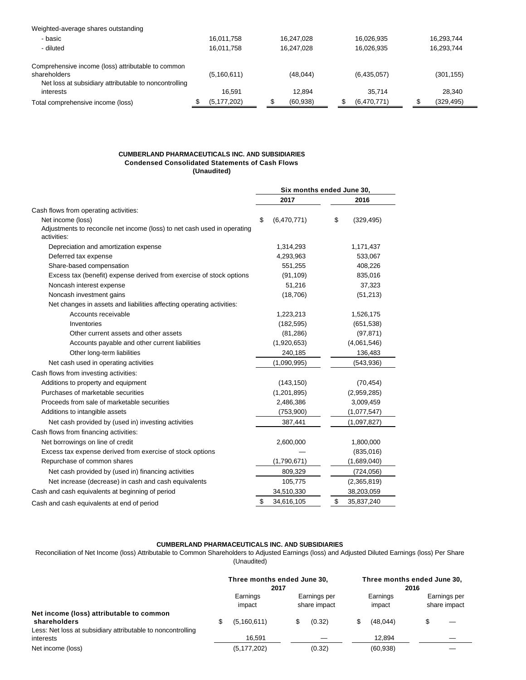| Weighted-average shares outstanding                                   |               |            |             |            |
|-----------------------------------------------------------------------|---------------|------------|-------------|------------|
| - basic                                                               | 16.011.758    | 16.247.028 | 16.026.935  | 16.293.744 |
| - diluted                                                             | 16.011.758    | 16.247.028 | 16.026.935  | 16.293.744 |
| Comprehensive income (loss) attributable to common                    |               |            |             |            |
| shareholders<br>Net loss at subsidiary attributable to noncontrolling | (5,160,611)   | (48, 044)  | (6,435,057) | (301, 155) |
| interests                                                             | 16.591        | 12.894     | 35.714      | 28.340     |
| Total comprehensive income (loss)                                     | (5, 177, 202) | (60, 938)  | (6,470,771) | (329, 495) |

#### **CUMBERLAND PHARMACEUTICALS INC. AND SUBSIDIARIES Condensed Consolidated Statements of Cash Flows (Unaudited)**

|                                                                                         | Six months ended June 30, |                  |  |  |
|-----------------------------------------------------------------------------------------|---------------------------|------------------|--|--|
|                                                                                         | 2017                      | 2016             |  |  |
| Cash flows from operating activities:                                                   |                           |                  |  |  |
| Net income (loss)                                                                       | (6,470,771)<br>\$         | \$<br>(329, 495) |  |  |
| Adjustments to reconcile net income (loss) to net cash used in operating<br>activities: |                           |                  |  |  |
| Depreciation and amortization expense                                                   | 1,314,293                 | 1,171,437        |  |  |
| Deferred tax expense                                                                    | 4,293,963                 | 533,067          |  |  |
| Share-based compensation                                                                | 551,255                   | 408,226          |  |  |
| Excess tax (benefit) expense derived from exercise of stock options                     | (91, 109)                 | 835,016          |  |  |
| Noncash interest expense                                                                | 51,216                    | 37,323           |  |  |
| Noncash investment gains                                                                | (18,706)                  | (51, 213)        |  |  |
| Net changes in assets and liabilities affecting operating activities:                   |                           |                  |  |  |
| Accounts receivable                                                                     | 1,223,213                 | 1,526,175        |  |  |
| Inventories                                                                             | (182, 595)                | (651, 538)       |  |  |
| Other current assets and other assets                                                   | (81, 286)                 | (97, 871)        |  |  |
| Accounts payable and other current liabilities                                          | (1,920,653)               | (4,061,546)      |  |  |
| Other long-term liabilities                                                             | 240,185                   | 136,483          |  |  |
| Net cash used in operating activities                                                   | (1,090,995)               | (543, 936)       |  |  |
| Cash flows from investing activities:                                                   |                           |                  |  |  |
| Additions to property and equipment                                                     | (143, 150)                | (70, 454)        |  |  |
| Purchases of marketable securities                                                      | (1, 201, 895)             | (2,959,285)      |  |  |
| Proceeds from sale of marketable securities                                             | 2,486,386                 | 3,009,459        |  |  |
| Additions to intangible assets                                                          | (753,900)                 | (1,077,547)      |  |  |
| Net cash provided by (used in) investing activities                                     | 387,441                   | (1,097,827)      |  |  |
| Cash flows from financing activities:                                                   |                           |                  |  |  |
| Net borrowings on line of credit                                                        | 2,600,000                 | 1,800,000        |  |  |
| Excess tax expense derived from exercise of stock options                               |                           | (835,016)        |  |  |
| Repurchase of common shares                                                             | (1,790,671)               | (1,689,040)      |  |  |
| Net cash provided by (used in) financing activities                                     | 809,329                   | (724, 056)       |  |  |
| Net increase (decrease) in cash and cash equivalents                                    | 105,775                   | (2,365,819)      |  |  |
| Cash and cash equivalents at beginning of period                                        | 34,510,330                | 38,203,059       |  |  |
| Cash and cash equivalents at end of period                                              | \$<br>34,616,105          | \$<br>35,837,240 |  |  |
|                                                                                         |                           |                  |  |  |

#### **CUMBERLAND PHARMACEUTICALS INC. AND SUBSIDIARIES**

Reconciliation of Net Income (loss) Attributable to Common Shareholders to Adjusted Earnings (loss) and Adjusted Diluted Earnings (loss) Per Share (Unaudited)

|                                                                          | Three months ended June 30,<br>2017 |                              | Three months ended June 30,<br>2016 |                    |  |                              |  |
|--------------------------------------------------------------------------|-------------------------------------|------------------------------|-------------------------------------|--------------------|--|------------------------------|--|
|                                                                          | Earnings<br>impact                  | Earnings per<br>share impact |                                     | Earnings<br>impact |  | Earnings per<br>share impact |  |
| Net income (loss) attributable to common<br>shareholders                 | (5,160,611)                         | (0.32)                       |                                     | (48.044)           |  |                              |  |
| Less: Net loss at subsidiary attributable to noncontrolling<br>interests | 16.591                              |                              |                                     | 12.894             |  |                              |  |
| Net income (loss)                                                        | (5, 177, 202)                       | (0.32)                       |                                     | (60, 938)          |  |                              |  |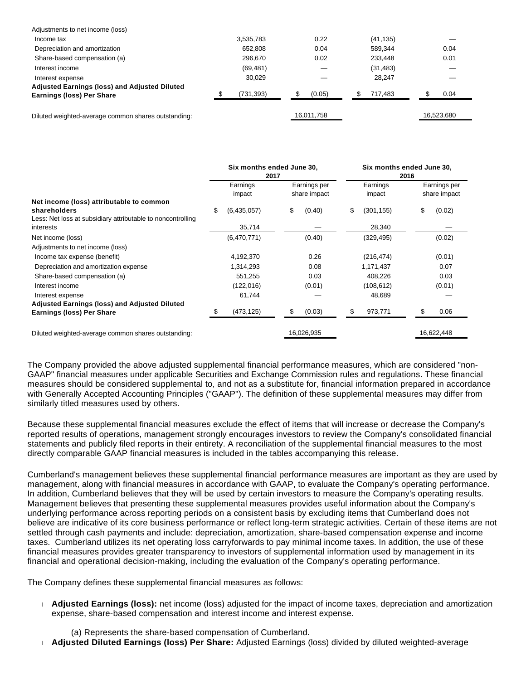| Adjustments to net income (loss)                                                         |            |            |           |            |
|------------------------------------------------------------------------------------------|------------|------------|-----------|------------|
| Income tax                                                                               | 3.535.783  | 0.22       | (41, 135) |            |
| Depreciation and amortization                                                            | 652.808    | 0.04       | 589.344   | 0.04       |
| Share-based compensation (a)                                                             | 296.670    | 0.02       | 233,448   | 0.01       |
| Interest income                                                                          | (69, 481)  |            | (31,483)  |            |
| Interest expense                                                                         | 30.029     |            | 28.247    |            |
| <b>Adjusted Earnings (loss) and Adjusted Diluted</b><br><b>Earnings (loss) Per Share</b> | (731, 393) | (0.05)     | 717.483   | 0.04       |
|                                                                                          |            |            |           |            |
| Diluted weighted-average common shares outstanding:                                      |            | 16.011.758 |           | 16.523.680 |

|                                                                                                                         | Six months ended June 30,<br>2017 |                    |                              |            |    | Six months ended June 30,<br>2016 |                              |            |  |  |
|-------------------------------------------------------------------------------------------------------------------------|-----------------------------------|--------------------|------------------------------|------------|----|-----------------------------------|------------------------------|------------|--|--|
|                                                                                                                         |                                   | Earnings<br>impact | Earnings per<br>share impact |            |    | Earnings<br>impact                | Earnings per<br>share impact |            |  |  |
| Net income (loss) attributable to common<br>shareholders<br>Less: Net loss at subsidiary attributable to noncontrolling | \$                                | (6,435,057)        | \$                           | (0.40)     | \$ | (301, 155)                        | \$                           | (0.02)     |  |  |
| interests                                                                                                               |                                   | 35,714             |                              |            |    | 28,340                            |                              |            |  |  |
| Net income (loss)                                                                                                       |                                   | (6,470,771)        |                              | (0.40)     |    | (329, 495)                        |                              | (0.02)     |  |  |
| Adjustments to net income (loss)                                                                                        |                                   |                    |                              |            |    |                                   |                              |            |  |  |
| Income tax expense (benefit)                                                                                            |                                   | 4,192,370          |                              | 0.26       |    | (216, 474)                        |                              | (0.01)     |  |  |
| Depreciation and amortization expense                                                                                   |                                   | 1,314,293          |                              | 0.08       |    | 1,171,437                         |                              | 0.07       |  |  |
| Share-based compensation (a)                                                                                            |                                   | 551,255            |                              | 0.03       |    | 408,226                           |                              | 0.03       |  |  |
| Interest income                                                                                                         |                                   | (122, 016)         |                              | (0.01)     |    | (108, 612)                        |                              | (0.01)     |  |  |
| Interest expense                                                                                                        |                                   | 61,744             |                              |            |    | 48,689                            |                              |            |  |  |
| <b>Adjusted Earnings (loss) and Adjusted Diluted</b>                                                                    |                                   |                    |                              |            |    |                                   |                              |            |  |  |
| <b>Earnings (loss) Per Share</b>                                                                                        |                                   | (473, 125)         | S                            | (0.03)     |    | 973,771                           |                              | 0.06       |  |  |
| Diluted weighted-average common shares outstanding:                                                                     |                                   |                    |                              | 16,026,935 |    |                                   |                              | 16,622,448 |  |  |

The Company provided the above adjusted supplemental financial performance measures, which are considered "non-GAAP" financial measures under applicable Securities and Exchange Commission rules and regulations. These financial measures should be considered supplemental to, and not as a substitute for, financial information prepared in accordance with Generally Accepted Accounting Principles ("GAAP"). The definition of these supplemental measures may differ from similarly titled measures used by others.

Because these supplemental financial measures exclude the effect of items that will increase or decrease the Company's reported results of operations, management strongly encourages investors to review the Company's consolidated financial statements and publicly filed reports in their entirety. A reconciliation of the supplemental financial measures to the most directly comparable GAAP financial measures is included in the tables accompanying this release.

Cumberland's management believes these supplemental financial performance measures are important as they are used by management, along with financial measures in accordance with GAAP, to evaluate the Company's operating performance. In addition, Cumberland believes that they will be used by certain investors to measure the Company's operating results. Management believes that presenting these supplemental measures provides useful information about the Company's underlying performance across reporting periods on a consistent basis by excluding items that Cumberland does not believe are indicative of its core business performance or reflect long-term strategic activities. Certain of these items are not settled through cash payments and include: depreciation, amortization, share-based compensation expense and income taxes. Cumberland utilizes its net operating loss carryforwards to pay minimal income taxes. In addition, the use of these financial measures provides greater transparency to investors of supplemental information used by management in its financial and operational decision-making, including the evaluation of the Company's operating performance.

The Company defines these supplemental financial measures as follows:

- **Adjusted Earnings (loss):** net income (loss) adjusted for the impact of income taxes, depreciation and amortization expense, share-based compensation and interest income and interest expense.
	- (a) Represents the share-based compensation of Cumberland.
- **Adjusted Diluted Earnings (loss) Per Share:** Adjusted Earnings (loss) divided by diluted weighted-average